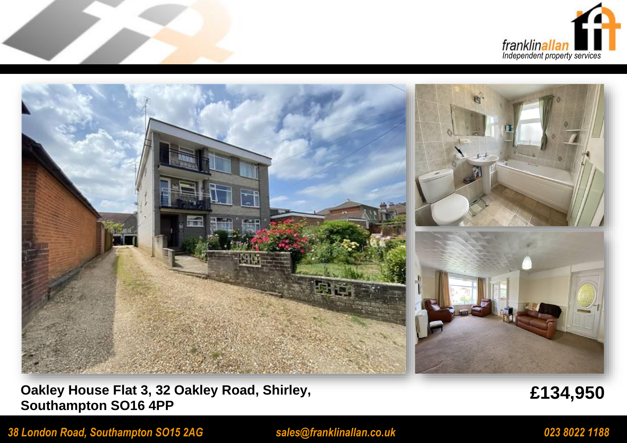



## **Oakley House Flat 3, 32 Oakley Road, Shirley, Southampton SO16 4PP**

**£134,950**

*38 London Road, Southampton SO15 2AG sales@franklinallan.co.uk 023 8022 1188*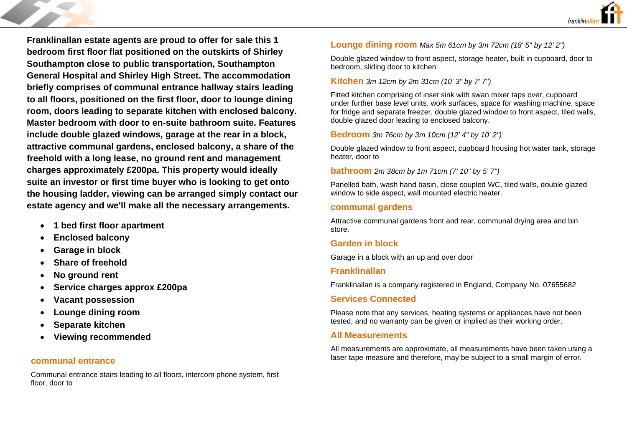

**Franklinallan estate agents are proud to offer for sale this 1 bedroom first floor flat positioned on the outskirts of Shirley Southampton close to public transportation, Southampton General Hospital and Shirley High Street. The accommodation briefly comprises of communal entrance hallway stairs leading to all floors, positioned on the first floor, door to lounge dining room, doors leading to separate kitchen with enclosed balcony. Master bedroom with door to en-suite bathroom suite. Features include double glazed windows, garage at the rear in a block, attractive communal gardens, enclosed balcony, a share of the freehold with a long lease, no ground rent and management charges approximately £200pa. This property would ideally suite an investor or first time buyer who is looking to get onto the housing ladder, viewing can be arranged simply contact our estate agency and we'll make all the necessary arrangements.**

- **1 bed first floor apartment**
- **Enclosed balcony**
- **Garage in block**
- **Share of freehold**
- **No ground rent**
- **Service charges approx £200pa**
- **Vacant possession**
- **Lounge dining room**
- **Separate kitchen**
- **Viewing recommended**

#### **communal entrance**

Communal entrance stairs leading to all floors, intercom phone system, first floor, door to

### **Lounge dining room** *Max 5m 61cm by 3m 72cm (18' 5" by 12' 2")*

Double glazed window to front aspect, storage heater, built in cupboard, door to bedroom, sliding door to kitchen

#### **Kitchen** *3m 12cm by 2m 31cm (10' 3" by 7' 7")*

Fitted kitchen comprising of inset sink with swan mixer taps over, cupboard under further base level units, work surfaces, space for washing machine, space for fridge and separate freezer, double glazed window to front aspect, tiled walls, double glazed door leading to enclosed balcony.

**Bedroom** *3m 76cm by 3m 10cm (12' 4" by 10' 2")*

Double glazed window to front aspect, cupboard housing hot water tank, storage heater, door to

**bathroom** *2m 38cm by 1m 71cm (7' 10" by 5' 7")*

Panelled bath, wash hand basin, close coupled WC, tiled walls, double glazed window to side aspect, wall mounted electric heater.

#### **communal gardens**

Attractive communal gardens front and rear, communal drying area and bin store.

### **Garden in block**

Garage in a block with an up and over door

#### **Franklinallan**

Franklinallan is a company registered in England, Company No. 07655682

#### **Services Connected**

Please note that any services, heating systems or appliances have not been tested, and no warranty can be given or implied as their working order.

#### **All Measurements**

All measurements are approximate, all measurements have been taken using a laser tape measure and therefore, may be subject to a small margin of error.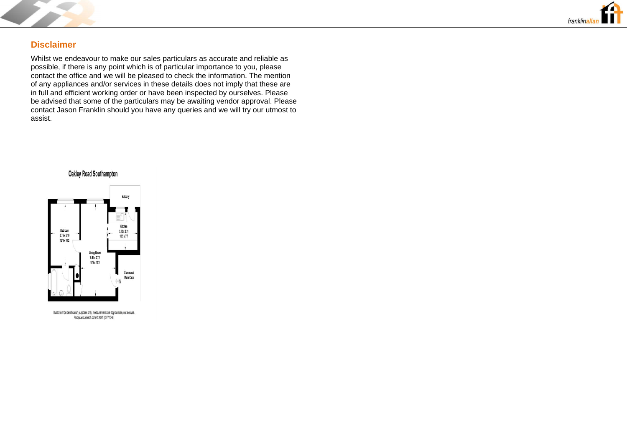



#### **Disclaimer**

Whilst we endeavour to make our sales particulars as accurate and reliable as possible, if there is any point which is of particular importance to you, please contact the office and we will be pleased to check the information. The mention of any appliances and/or services in these details does not imply that these are in full and efficient working order or have been inspected by ourselves. Please be advised that some of the particulars may be awaiting vendor approval. Please contact Jason Franklin should you have any queries and we will try our utmost to assist.





Illustration for identification purposes only, measurements are approximate, not to scale FloorplansUsketch.com © 2021 (ID771046)